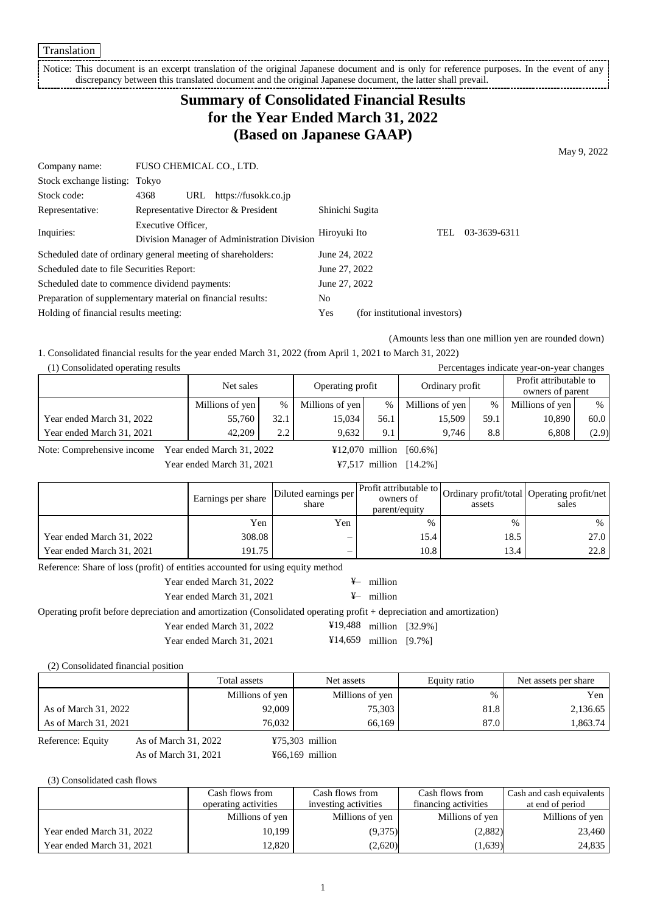Notice: This document is an excerpt translation of the original Japanese document and is only for reference purposes. In the event of any discrepancy between this translated document and the original Japanese document, the latter shall prevail.

# **Summary of Consolidated Financial Results for the Year Ended March 31, 2022 (Based on Japanese GAAP)**

May 9, 2022

| Company name:                                               | FUSO CHEMICAL CO., LTD. |               |                                             |                 |                               |     |              |
|-------------------------------------------------------------|-------------------------|---------------|---------------------------------------------|-----------------|-------------------------------|-----|--------------|
| Stock exchange listing: Tokyo                               |                         |               |                                             |                 |                               |     |              |
| Stock code:                                                 | 4368<br>URL             |               | https://fusokk.co.jp                        |                 |                               |     |              |
| Representative:                                             |                         |               | Representative Director & President         | Shinichi Sugita |                               |     |              |
| Inquiries:                                                  | Executive Officer,      |               |                                             | Hiroyuki Ito    |                               | TEL | 03-3639-6311 |
|                                                             |                         |               | Division Manager of Administration Division |                 |                               |     |              |
| Scheduled date of ordinary general meeting of shareholders: |                         |               |                                             | June 24, 2022   |                               |     |              |
| Scheduled date to file Securities Report:                   |                         |               |                                             | June 27, 2022   |                               |     |              |
| Scheduled date to commence dividend payments:               |                         | June 27, 2022 |                                             |                 |                               |     |              |
| Preparation of supplementary material on financial results: |                         |               |                                             | No              |                               |     |              |
| Holding of financial results meeting:                       |                         |               |                                             | Yes             | (for institutional investors) |     |              |

(Amounts less than one million yen are rounded down)

1. Consolidated financial results for the year ended March 31, 2022 (from April 1, 2021 to March 31, 2022)

| (1) Consolidated operating results |                 |      |                  |      |                 |      | Percentages indicate year-on-year changes  |       |
|------------------------------------|-----------------|------|------------------|------|-----------------|------|--------------------------------------------|-------|
|                                    | Net sales       |      | Operating profit |      | Ordinary profit |      | Profit attributable to<br>owners of parent |       |
|                                    | Millions of yen | %    | Millions of yen  | %    | Millions of yen | $\%$ | Millions of yen                            | $\%$  |
| Year ended March 31, 2022          | 55,760          | 32.1 | 15.034           | 56.1 | 15.509          | 59.1 | 10,890                                     | 60.0  |
| Year ended March 31, 2021          | 42,209          | 2.2  | 9.632            | 9.1  | 9.746           | 8.8  | 6.808                                      | (2.9) |

Note: Comprehensive income Year ended March 31, 2022  $\text{412,070 million}$  [60.6%]

Year ended March 31, 2021 **¥7,517 million** [14.2%]

Earnings per share Diluted earnings per share Profit attributable to owners of parent/equity Ordinary profit/total assets Operating profit/net sales  $Yen$   $Yen$   $\%$   $\%$   $\%$ Year ended March 31, 2022 308.08 – 15.4 18.5 18.5 27.0 Year ended March 31, 2021 191.75 – 10.8 13.4 22.8

Reference: Share of loss (profit) of entities accounted for using equity method

Year ended March 31, 2022  $\overline{Y}$  million

Operating profit before depreciation and amortization (Consolidated operating profit + depreciation and amortization)

Year ended March 31, 2022 <sup>¥19,488</sup> million [32.9%]

Year ended March 31, 2021 ¥14,659 million [9.7%]

(2) Consolidated financial position

|                                           | Total assets    | Net assets        | Equity ratio | Net assets per share |
|-------------------------------------------|-----------------|-------------------|--------------|----------------------|
|                                           | Millions of yen | Millions of yen   | $\%$         | Yen                  |
| As of March 31, 2022                      | 92,009          | 75,303            | 81.8         | 2,136.65             |
| As of March 31, 2021                      | 76.032          | 66.169            | 87.0         | 1,863.74             |
| As of March 31, 2022<br>Reference: Equity |                 | $475,303$ million |              |                      |

As of March 31, 2021 ¥66,169 million

(3) Consolidated cash flows

|                           | Cash flows from      | Cash flows from      | Cash flows from      | Cash and cash equivalents |
|---------------------------|----------------------|----------------------|----------------------|---------------------------|
|                           | operating activities | investing activities | financing activities | at end of period          |
|                           | Millions of yen      | Millions of yen      | Millions of yen      | Millions of yen           |
| Year ended March 31, 2022 | 10.199               | (9,375)              | (2,882)              | 23,460                    |
| Year ended March 31, 2021 | 12.820               | (2,620)              | (1,639)              | 24,835                    |

Year ended March 31, 2021  $\frac{4}{5}$  million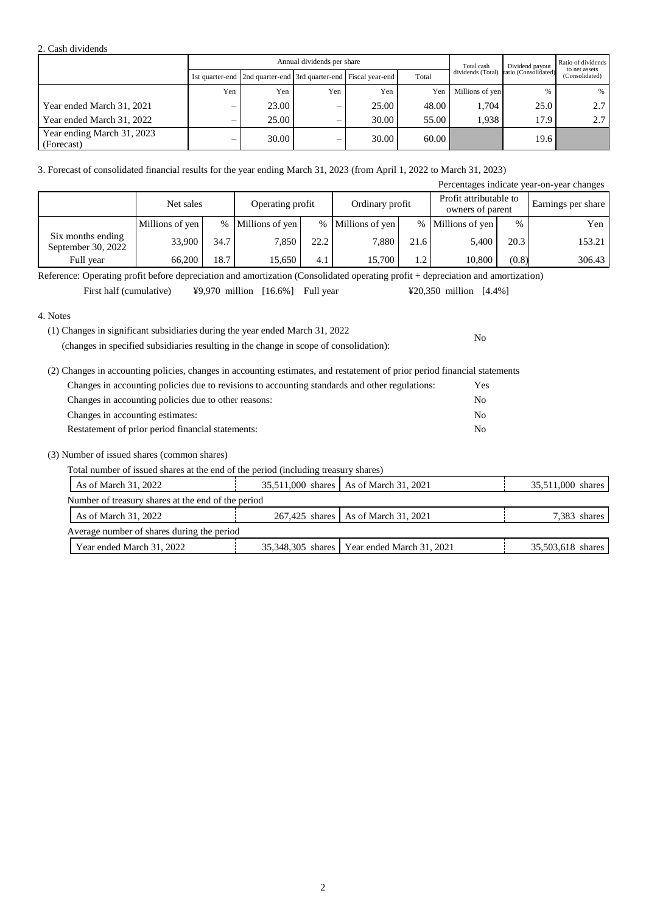### 2. Cash dividends

|                                          |     |                                                                       | Annual dividends per share |       |       | Total cash        | Ratio of dividends<br>Dividend payout |                                 |
|------------------------------------------|-----|-----------------------------------------------------------------------|----------------------------|-------|-------|-------------------|---------------------------------------|---------------------------------|
|                                          |     | 1st quarter-end   2nd quarter-end   3rd quarter-end   Fiscal year-end |                            |       | Total | dividends (Total) | ratio (Consolidated)                  | to net assets<br>(Consolidated) |
|                                          | Yen | Yen                                                                   | Yen                        | Yen   | Yen   | Millions of yen   | %                                     | $\%$                            |
| Year ended March 31, 2021                |     | 23.00                                                                 | –                          | 25.00 | 48.00 | 1.704             | 25.0                                  | 2.7                             |
| Year ended March 31, 2022                | –   | 25.00                                                                 | –                          | 30.00 | 55.00 | 1.938             | 17.9                                  | 2.7                             |
| Year ending March 31, 2023<br>(Forecast) |     | 30.00                                                                 | $\overline{\phantom{0}}$   | 30.00 | 60.00 |                   | 19.6                                  |                                 |

### 3. Forecast of consolidated financial results for the year ending March 31, 2023 (from April 1, 2022 to March 31, 2023)

|                                         |                               |      |                 |      |                   |      |                                            |       | Percentages indicate year-on-year changes |
|-----------------------------------------|-------------------------------|------|-----------------|------|-------------------|------|--------------------------------------------|-------|-------------------------------------------|
|                                         | Net sales<br>Operating profit |      |                 |      | Ordinary profit   |      | Profit attributable to<br>owners of parent |       | Earnings per share                        |
|                                         | Millions of yen               | $\%$ | Millions of yen |      | % Millions of yen | %    | Millions of yen                            | %     | Yen                                       |
| Six months ending<br>September 30, 2022 | 33,900                        | 34.7 | 7,850           | 22.2 | 7.880             | 21.6 | 5,400                                      | 20.3  | 153.21                                    |
| Full year                               | 66,200                        | 18.7 | 15,650          | 4.1  | 15,700            | 1.2  | 10,800                                     | (0.8) | 306.43                                    |

Reference: Operating profit before depreciation and amortization (Consolidated operating profit + depreciation and amortization)

First half (cumulative)  $\text{\$9,970}\text{ million}$  [16.6%] Full year  $\text{\$20,350}\text{ million}$  [4.4%]

### 4. Notes

(1) Changes in significant subsidiaries during the year ended March 31, 2022

(changes in specified subsidiaries resulting in the change in scope of consolidation):

| (2) Changes in accounting policies, changes in accounting estimates, and restatement of prior period financial statements |                |
|---------------------------------------------------------------------------------------------------------------------------|----------------|
| Changes in accounting policies due to revisions to accounting standards and other regulations:                            | <b>Yes</b>     |
| Changes in accounting policies due to other reasons:                                                                      | No             |
| Changes in accounting estimates:                                                                                          | No             |
| Restatement of prior period financial statements:                                                                         | N <sub>0</sub> |

### (3) Number of issued shares (common shares)

Total number of issued shares at the end of the period (including treasury shares)

| As of March 31, 2022                               |  | 35,511,000 shares   As of March 31, 2021      | 35,511,000 shares |  |  |
|----------------------------------------------------|--|-----------------------------------------------|-------------------|--|--|
| Number of treasury shares at the end of the period |  |                                               |                   |  |  |
| As of March 31, 2022                               |  | 267,425 shares   As of March 31, 2021         | 7,383 shares      |  |  |
| Average number of shares during the period         |  |                                               |                   |  |  |
| Year ended March 31, 2022                          |  | 35,348,305 shares   Year ended March 31, 2021 | 35,503,618 shares |  |  |

No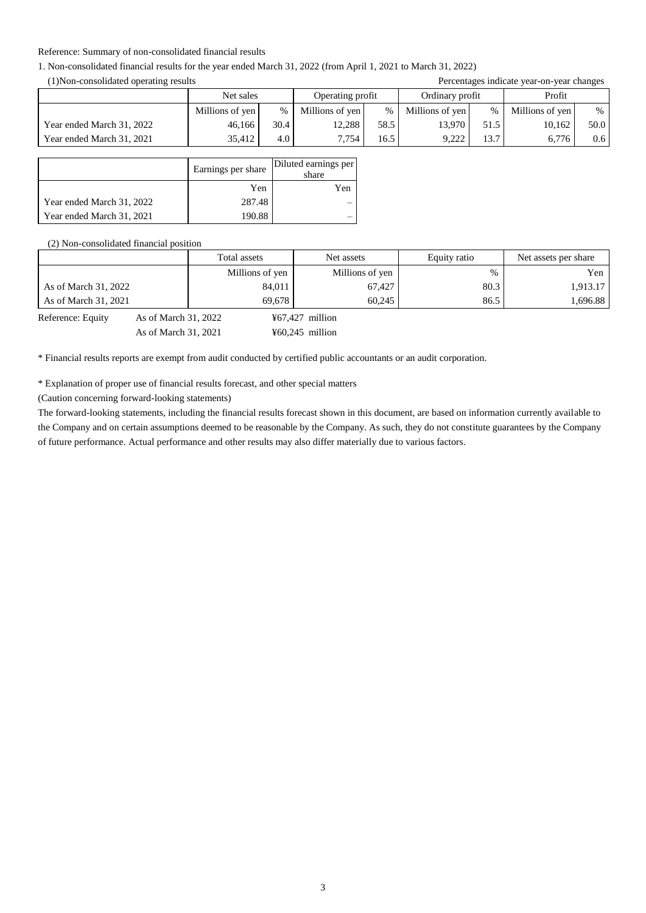### Reference: Summary of non-consolidated financial results

### 1. Non-consolidated financial results for the year ended March 31, 2022 (from April 1, 2021 to March 31, 2022)

(1)Non-consolidated operating results Percentages indicate year-on-year changes

| $(1)$ von consondated operating results |                 |      | I electrically start of the changes |      |                 |      |                 |                  |
|-----------------------------------------|-----------------|------|-------------------------------------|------|-----------------|------|-----------------|------------------|
|                                         | Net sales       |      | Operating profit                    |      | Ordinary profit |      | Profit          |                  |
|                                         | Millions of yen | $\%$ | Millions of yen                     | %    | Millions of yen | $\%$ | Millions of yen | $\%$             |
| Year ended March 31, 2022               | 46.166          | 30.4 | 12.288                              | 58.5 | 13.970          | 51.5 | 10.162          | 50.0             |
| Year ended March 31, 2021               | 35.412          | 4.0  | 7.754                               | 16.5 | 9.222           | 13.7 | 6.776           | 0.6 <sub>1</sub> |

|                           | Earnings per share | Diluted earnings per<br>share |
|---------------------------|--------------------|-------------------------------|
|                           | Yen                | Yen                           |
| Year ended March 31, 2022 | 287.48             |                               |
| Year ended March 31, 2021 | 190.88             |                               |

(2) Non-consolidated financial position

|                      |                      | Total assets    | Net assets                | Equity ratio | Net assets per share |
|----------------------|----------------------|-----------------|---------------------------|--------------|----------------------|
|                      |                      | Millions of yen | Millions of yen           | %            | Yen                  |
| As of March 31, 2022 |                      | 84,011          | 67,427                    | 80.3         | 1.913.17             |
| As of March 31, 2021 |                      | 69.678          | 60.245                    | 86.5         | 1.696.88             |
| Reference: Equity    | As of March 31, 2022 |                 | $\text{\#}67,427$ million |              |                      |

As of March 31, 2021 460,245 million

\* Financial results reports are exempt from audit conducted by certified public accountants or an audit corporation.

\* Explanation of proper use of financial results forecast, and other special matters

(Caution concerning forward-looking statements)

The forward-looking statements, including the financial results forecast shown in this document, are based on information currently available to the Company and on certain assumptions deemed to be reasonable by the Company. As such, they do not constitute guarantees by the Company of future performance. Actual performance and other results may also differ materially due to various factors.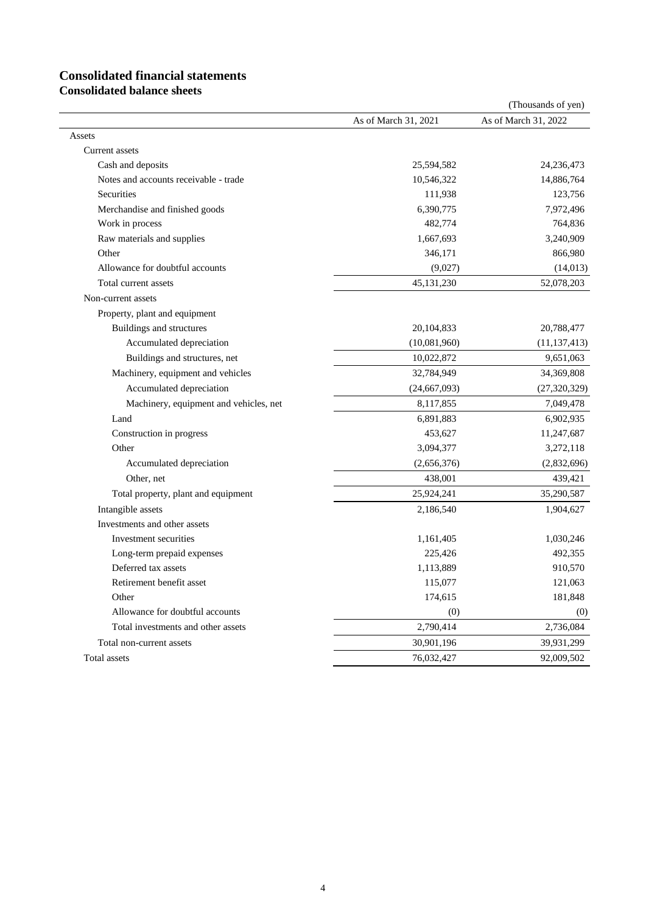# **Consolidated financial statements**

**Consolidated balance sheets**

|                                        |                      | (Thousands of yen)   |
|----------------------------------------|----------------------|----------------------|
|                                        | As of March 31, 2021 | As of March 31, 2022 |
| Assets                                 |                      |                      |
| Current assets                         |                      |                      |
| Cash and deposits                      | 25,594,582           | 24,236,473           |
| Notes and accounts receivable - trade  | 10,546,322           | 14,886,764           |
| <b>Securities</b>                      | 111,938              | 123,756              |
| Merchandise and finished goods         | 6,390,775            | 7,972,496            |
| Work in process                        | 482,774              | 764,836              |
| Raw materials and supplies             | 1,667,693            | 3,240,909            |
| Other                                  | 346,171              | 866,980              |
| Allowance for doubtful accounts        | (9,027)              | (14, 013)            |
| Total current assets                   | 45, 131, 230         | 52,078,203           |
| Non-current assets                     |                      |                      |
| Property, plant and equipment          |                      |                      |
| Buildings and structures               | 20,104,833           | 20,788,477           |
| Accumulated depreciation               | (10,081,960)         | (11, 137, 413)       |
| Buildings and structures, net          | 10,022,872           | 9,651,063            |
| Machinery, equipment and vehicles      | 32,784,949           | 34,369,808           |
| Accumulated depreciation               | (24, 667, 093)       | (27, 320, 329)       |
| Machinery, equipment and vehicles, net | 8,117,855            | 7,049,478            |
| Land                                   | 6,891,883            | 6,902,935            |
| Construction in progress               | 453,627              | 11,247,687           |
| Other                                  | 3,094,377            | 3,272,118            |
| Accumulated depreciation               | (2,656,376)          | (2,832,696)          |
| Other, net                             | 438,001              | 439,421              |
| Total property, plant and equipment    | 25,924,241           | 35,290,587           |
| Intangible assets                      | 2,186,540            | 1,904,627            |
| Investments and other assets           |                      |                      |
| Investment securities                  | 1,161,405            | 1,030,246            |
| Long-term prepaid expenses             | 225,426              | 492,355              |
| Deferred tax assets                    | 1,113,889            | 910,570              |
| Retirement benefit asset               | 115,077              | 121,063              |
| Other                                  | 174,615              | 181,848              |
| Allowance for doubtful accounts        | (0)                  | (0)                  |
| Total investments and other assets     | 2,790,414            | 2,736,084            |
| Total non-current assets               | 30,901,196           | 39,931,299           |
| Total assets                           | 76,032,427           | 92,009,502           |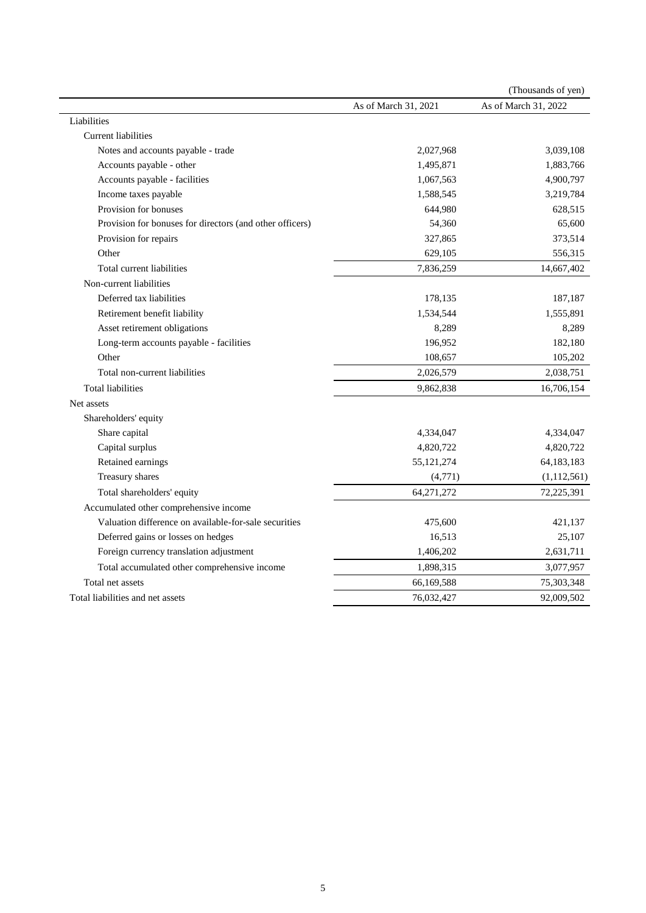|                                                          |                      | (Thousands of yen)   |
|----------------------------------------------------------|----------------------|----------------------|
|                                                          | As of March 31, 2021 | As of March 31, 2022 |
| Liabilities                                              |                      |                      |
| <b>Current liabilities</b>                               |                      |                      |
| Notes and accounts payable - trade                       | 2,027,968            | 3,039,108            |
| Accounts payable - other                                 | 1,495,871            | 1,883,766            |
| Accounts payable - facilities                            | 1,067,563            | 4,900,797            |
| Income taxes payable                                     | 1,588,545            | 3,219,784            |
| Provision for bonuses                                    | 644,980              | 628,515              |
| Provision for bonuses for directors (and other officers) | 54,360               | 65,600               |
| Provision for repairs                                    | 327,865              | 373,514              |
| Other                                                    | 629,105              | 556,315              |
| Total current liabilities                                | 7,836,259            | 14,667,402           |
| Non-current liabilities                                  |                      |                      |
| Deferred tax liabilities                                 | 178,135              | 187,187              |
| Retirement benefit liability                             | 1,534,544            | 1,555,891            |
| Asset retirement obligations                             | 8,289                | 8,289                |
| Long-term accounts payable - facilities                  | 196,952              | 182,180              |
| Other                                                    | 108,657              | 105,202              |
| Total non-current liabilities                            | 2,026,579            | 2,038,751            |
| <b>Total liabilities</b>                                 | 9,862,838            | 16,706,154           |
| Net assets                                               |                      |                      |
| Shareholders' equity                                     |                      |                      |
| Share capital                                            | 4,334,047            | 4,334,047            |
| Capital surplus                                          | 4,820,722            | 4,820,722            |
| Retained earnings                                        | 55, 121, 274         | 64,183,183           |
| Treasury shares                                          | (4, 771)             | (1, 112, 561)        |
| Total shareholders' equity                               | 64,271,272           | 72,225,391           |
| Accumulated other comprehensive income                   |                      |                      |
| Valuation difference on available-for-sale securities    | 475,600              | 421,137              |
| Deferred gains or losses on hedges                       | 16,513               | 25,107               |
| Foreign currency translation adjustment                  | 1,406,202            | 2,631,711            |
| Total accumulated other comprehensive income             | 1,898,315            | 3,077,957            |
| Total net assets                                         | 66,169,588           | 75,303,348           |
| Total liabilities and net assets                         | 76,032,427           | 92,009,502           |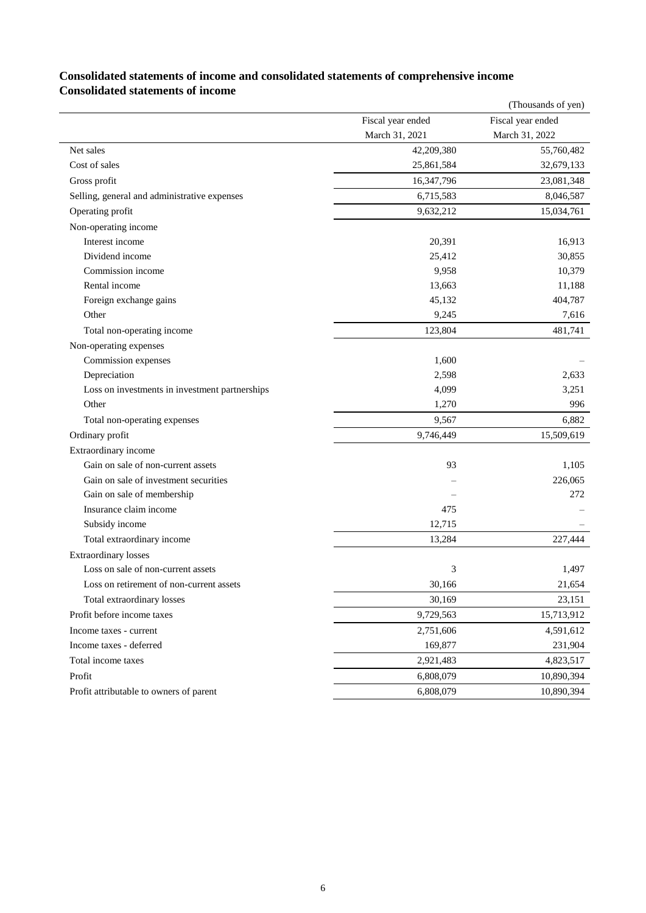|                                                |                   | (Thousands of yen) |
|------------------------------------------------|-------------------|--------------------|
|                                                | Fiscal year ended | Fiscal year ended  |
|                                                | March 31, 2021    | March 31, 2022     |
| Net sales                                      | 42,209,380        | 55,760,482         |
| Cost of sales                                  | 25,861,584        | 32,679,133         |
| Gross profit                                   | 16,347,796        | 23,081,348         |
| Selling, general and administrative expenses   | 6,715,583         | 8,046,587          |
| Operating profit                               | 9,632,212         | 15,034,761         |
| Non-operating income                           |                   |                    |
| Interest income                                | 20,391            | 16,913             |
| Dividend income                                | 25,412            | 30,855             |
| Commission income                              | 9,958             | 10,379             |
| Rental income                                  | 13,663            | 11,188             |
| Foreign exchange gains                         | 45,132            | 404,787            |
| Other                                          | 9,245             | 7,616              |
| Total non-operating income                     | 123,804           | 481,741            |
| Non-operating expenses                         |                   |                    |
| Commission expenses                            | 1,600             |                    |
| Depreciation                                   | 2,598             | 2,633              |
| Loss on investments in investment partnerships | 4,099             | 3,251              |
| Other                                          | 1,270             | 996                |
| Total non-operating expenses                   | 9,567             | 6,882              |
| Ordinary profit                                | 9,746,449         | 15,509,619         |
| Extraordinary income                           |                   |                    |
| Gain on sale of non-current assets             | 93                | 1,105              |
| Gain on sale of investment securities          |                   | 226,065            |
| Gain on sale of membership                     |                   | 272                |
| Insurance claim income                         | 475               |                    |
| Subsidy income                                 | 12,715            |                    |
| Total extraordinary income                     | 13,284            | 227,444            |
| <b>Extraordinary losses</b>                    |                   |                    |
| Loss on sale of non-current assets             | 3                 | 1,497              |
| Loss on retirement of non-current assets       | 30,166            | 21,654             |
| Total extraordinary losses                     | 30,169            | 23,151             |
| Profit before income taxes                     | 9,729,563         | 15,713,912         |
| Income taxes - current                         | 2,751,606         | 4,591,612          |
| Income taxes - deferred                        | 169,877           | 231,904            |
| Total income taxes                             | 2,921,483         | 4,823,517          |
| Profit                                         | 6,808,079         | 10,890,394         |
| Profit attributable to owners of parent        | 6,808,079         | 10,890,394         |

## **Consolidated statements of income and consolidated statements of comprehensive income Consolidated statements of income**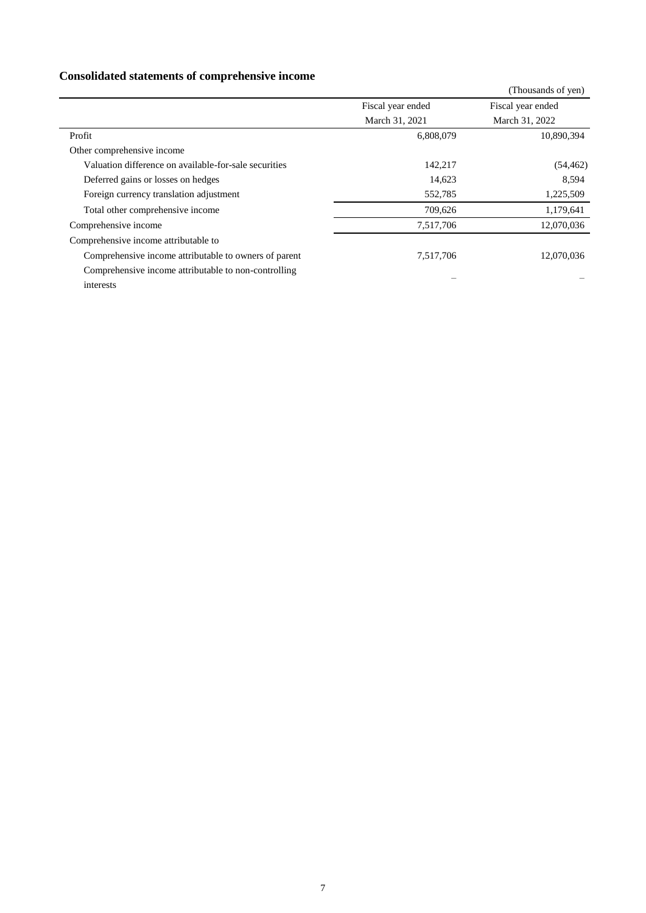# **Consolidated statements of comprehensive income**

|                                                       |                   | (Thousands of yen) |
|-------------------------------------------------------|-------------------|--------------------|
|                                                       | Fiscal year ended | Fiscal year ended  |
|                                                       | March 31, 2021    | March 31, 2022     |
| Profit                                                | 6,808,079         | 10,890,394         |
| Other comprehensive income                            |                   |                    |
| Valuation difference on available-for-sale securities | 142,217           | (54, 462)          |
| Deferred gains or losses on hedges                    | 14,623            | 8.594              |
| Foreign currency translation adjustment               | 552,785           | 1,225,509          |
| Total other comprehensive income                      | 709,626           | 1,179,641          |
| Comprehensive income                                  | 7,517,706         | 12,070,036         |
| Comprehensive income attributable to                  |                   |                    |
| Comprehensive income attributable to owners of parent | 7,517,706         | 12,070,036         |
| Comprehensive income attributable to non-controlling  |                   |                    |
| interests                                             |                   |                    |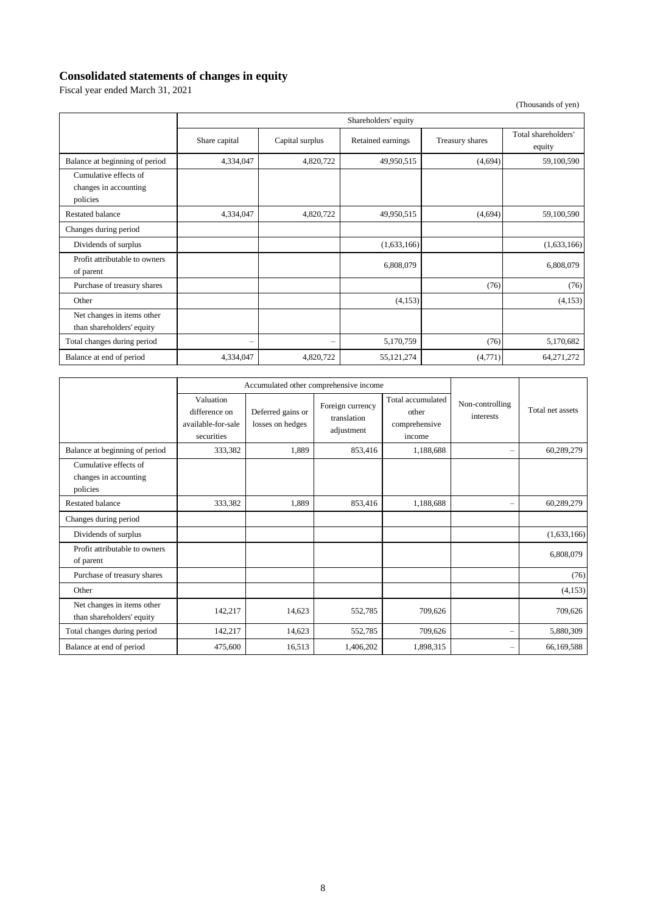# **Consolidated statements of changes in equity**

Fiscal year ended March 31, 2021

(Thousands of yen)

|                                                            | Shareholders' equity   |                 |                   |                 |                               |
|------------------------------------------------------------|------------------------|-----------------|-------------------|-----------------|-------------------------------|
|                                                            | Share capital          | Capital surplus | Retained earnings | Treasury shares | Total shareholders'<br>equity |
| Balance at beginning of period                             | 4,334,047              | 4,820,722       | 49,950,515        | (4,694)         | 59,100,590                    |
| Cumulative effects of<br>changes in accounting<br>policies |                        |                 |                   |                 |                               |
| <b>Restated balance</b>                                    | 4,334,047              | 4,820,722       | 49,950,515        | (4,694)         | 59,100,590                    |
| Changes during period                                      |                        |                 |                   |                 |                               |
| Dividends of surplus                                       |                        |                 | (1,633,166)       |                 | (1,633,166)                   |
| Profit attributable to owners<br>of parent                 |                        |                 | 6,808,079         |                 | 6,808,079                     |
| Purchase of treasury shares                                |                        |                 |                   | (76)            | (76)                          |
| Other                                                      |                        |                 | (4,153)           |                 | (4,153)                       |
| Net changes in items other<br>than shareholders' equity    |                        |                 |                   |                 |                               |
| Total changes during period                                | $\qquad \qquad \qquad$ |                 | 5,170,759         | (76)            | 5,170,682                     |
| Balance at end of period                                   | 4,334,047              | 4,820,722       | 55, 121, 274      | (4,771)         | 64, 271, 272                  |

|                                                            | Accumulated other comprehensive income                         |                                       |                                               |                                                       |                              |                  |
|------------------------------------------------------------|----------------------------------------------------------------|---------------------------------------|-----------------------------------------------|-------------------------------------------------------|------------------------------|------------------|
|                                                            | Valuation<br>difference on<br>available-for-sale<br>securities | Deferred gains or<br>losses on hedges | Foreign currency<br>translation<br>adjustment | Total accumulated<br>other<br>comprehensive<br>income | Non-controlling<br>interests | Total net assets |
| Balance at beginning of period                             | 333,382                                                        | 1,889                                 | 853,416                                       | 1,188,688                                             | $\overline{\phantom{0}}$     | 60,289,279       |
| Cumulative effects of<br>changes in accounting<br>policies |                                                                |                                       |                                               |                                                       |                              |                  |
| <b>Restated balance</b>                                    | 333,382                                                        | 1,889                                 | 853,416                                       | 1,188,688                                             | $\overline{\phantom{0}}$     | 60,289,279       |
| Changes during period                                      |                                                                |                                       |                                               |                                                       |                              |                  |
| Dividends of surplus                                       |                                                                |                                       |                                               |                                                       |                              | (1,633,166)      |
| Profit attributable to owners<br>of parent                 |                                                                |                                       |                                               |                                                       |                              | 6,808,079        |
| Purchase of treasury shares                                |                                                                |                                       |                                               |                                                       |                              | (76)             |
| Other                                                      |                                                                |                                       |                                               |                                                       |                              | (4,153)          |
| Net changes in items other<br>than shareholders' equity    | 142,217                                                        | 14,623                                | 552,785                                       | 709,626                                               |                              | 709,626          |
| Total changes during period                                | 142,217                                                        | 14,623                                | 552,785                                       | 709,626                                               | $\overline{\phantom{0}}$     | 5,880,309        |
| Balance at end of period                                   | 475,600                                                        | 16,513                                | 1,406,202                                     | 1.898.315                                             | $\overline{\phantom{0}}$     | 66,169,588       |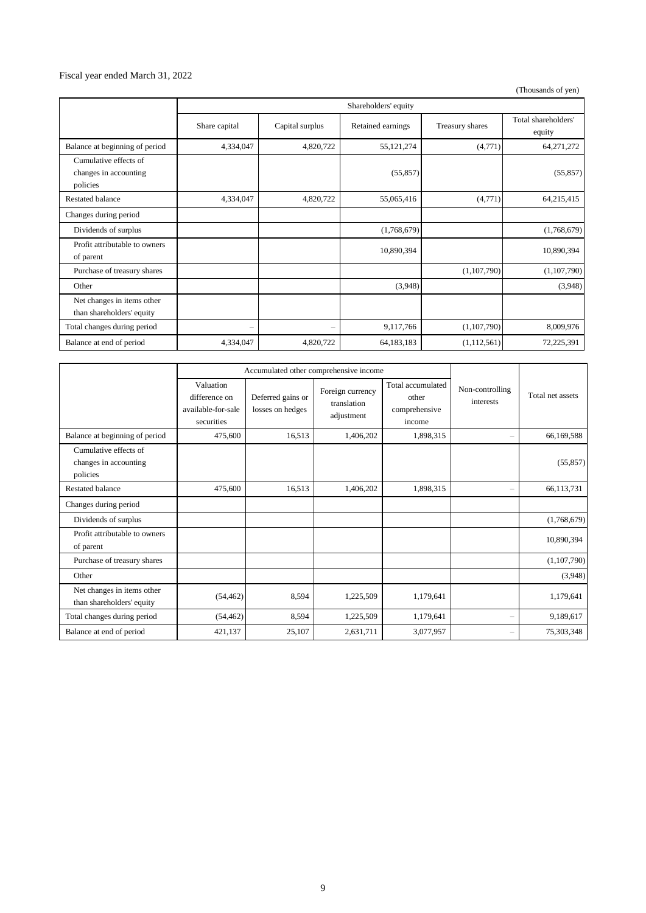## Fiscal year ended March 31, 2022

(Thousands of yen)

|                                                            | Shareholders' equity |                 |                   |                 |                               |
|------------------------------------------------------------|----------------------|-----------------|-------------------|-----------------|-------------------------------|
|                                                            | Share capital        | Capital surplus | Retained earnings | Treasury shares | Total shareholders'<br>equity |
| Balance at beginning of period                             | 4,334,047            | 4,820,722       | 55, 121, 274      | (4,771)         | 64, 271, 272                  |
| Cumulative effects of<br>changes in accounting<br>policies |                      |                 | (55, 857)         |                 | (55, 857)                     |
| <b>Restated balance</b>                                    | 4,334,047            | 4,820,722       | 55,065,416        | (4,771)         | 64,215,415                    |
| Changes during period                                      |                      |                 |                   |                 |                               |
| Dividends of surplus                                       |                      |                 | (1,768,679)       |                 | (1,768,679)                   |
| Profit attributable to owners<br>of parent                 |                      |                 | 10,890,394        |                 | 10,890,394                    |
| Purchase of treasury shares                                |                      |                 |                   | (1,107,790)     | (1,107,790)                   |
| Other                                                      |                      |                 | (3,948)           |                 | (3,948)                       |
| Net changes in items other<br>than shareholders' equity    |                      |                 |                   |                 |                               |
| Total changes during period                                | $\qquad \qquad -$    |                 | 9,117,766         | (1,107,790)     | 8,009,976                     |
| Balance at end of period                                   | 4,334,047            | 4,820,722       | 64,183,183        | (1,112,561)     | 72,225,391                    |

|                                                            |                                                                | Accumulated other comprehensive income |                                               |                                                       |                              |                  |
|------------------------------------------------------------|----------------------------------------------------------------|----------------------------------------|-----------------------------------------------|-------------------------------------------------------|------------------------------|------------------|
|                                                            | Valuation<br>difference on<br>available-for-sale<br>securities | Deferred gains or<br>losses on hedges  | Foreign currency<br>translation<br>adjustment | Total accumulated<br>other<br>comprehensive<br>income | Non-controlling<br>interests | Total net assets |
| Balance at beginning of period                             | 475,600                                                        | 16,513                                 | 1,406,202                                     | 1,898,315                                             | $\overline{\phantom{0}}$     | 66,169,588       |
| Cumulative effects of<br>changes in accounting<br>policies |                                                                |                                        |                                               |                                                       |                              | (55, 857)        |
| <b>Restated balance</b>                                    | 475,600                                                        | 16,513                                 | 1,406,202                                     | 1,898,315                                             | -                            | 66,113,731       |
| Changes during period                                      |                                                                |                                        |                                               |                                                       |                              |                  |
| Dividends of surplus                                       |                                                                |                                        |                                               |                                                       |                              | (1,768,679)      |
| Profit attributable to owners<br>of parent                 |                                                                |                                        |                                               |                                                       |                              | 10,890,394       |
| Purchase of treasury shares                                |                                                                |                                        |                                               |                                                       |                              | (1,107,790)      |
| Other                                                      |                                                                |                                        |                                               |                                                       |                              | (3,948)          |
| Net changes in items other<br>than shareholders' equity    | (54, 462)                                                      | 8,594                                  | 1,225,509                                     | 1,179,641                                             |                              | 1,179,641        |
| Total changes during period                                | (54, 462)                                                      | 8,594                                  | 1,225,509                                     | 1,179,641                                             | -                            | 9,189,617        |
| Balance at end of period                                   | 421,137                                                        | 25,107                                 | 2,631,711                                     | 3,077,957                                             | -                            | 75,303,348       |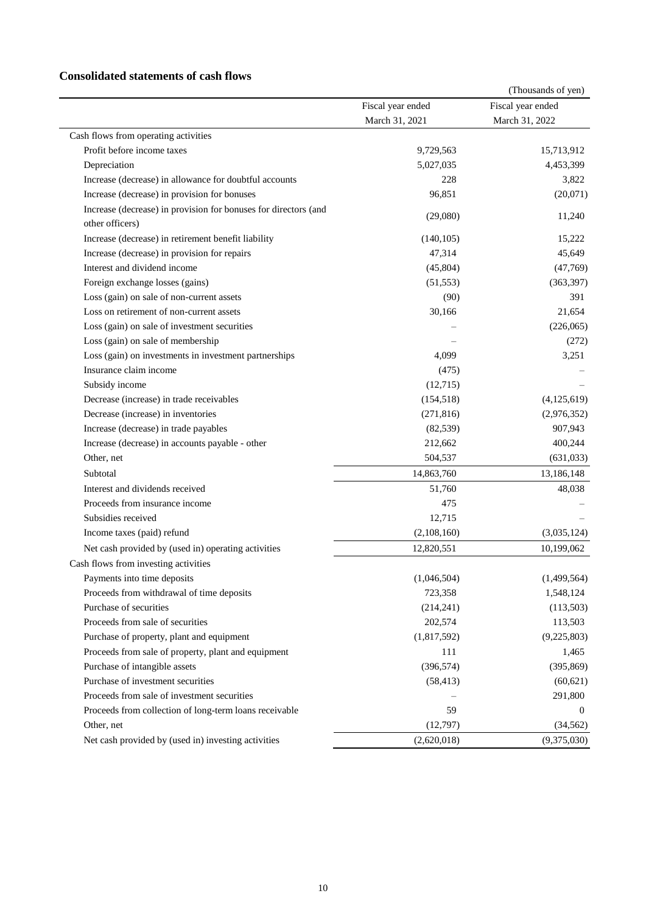## **Consolidated statements of cash flows**

|                                                                 |                   | (Thousands of yen) |
|-----------------------------------------------------------------|-------------------|--------------------|
|                                                                 | Fiscal year ended | Fiscal year ended  |
|                                                                 | March 31, 2021    | March 31, 2022     |
| Cash flows from operating activities                            |                   |                    |
| Profit before income taxes                                      | 9,729,563         | 15,713,912         |
| Depreciation                                                    | 5,027,035         | 4,453,399          |
| Increase (decrease) in allowance for doubtful accounts          | 228               | 3,822              |
| Increase (decrease) in provision for bonuses                    | 96,851            | (20,071)           |
| Increase (decrease) in provision for bonuses for directors (and |                   |                    |
| other officers)                                                 | (29,080)          | 11,240             |
| Increase (decrease) in retirement benefit liability             | (140, 105)        | 15,222             |
| Increase (decrease) in provision for repairs                    | 47,314            | 45,649             |
| Interest and dividend income                                    | (45,804)          | (47,769)           |
| Foreign exchange losses (gains)                                 | (51, 553)         | (363, 397)         |
| Loss (gain) on sale of non-current assets                       | (90)              | 391                |
| Loss on retirement of non-current assets                        | 30,166            | 21,654             |
| Loss (gain) on sale of investment securities                    |                   | (226,065)          |
| Loss (gain) on sale of membership                               |                   | (272)              |
| Loss (gain) on investments in investment partnerships           | 4,099             | 3,251              |
| Insurance claim income                                          | (475)             |                    |
| Subsidy income                                                  | (12,715)          |                    |
| Decrease (increase) in trade receivables                        | (154, 518)        | (4, 125, 619)      |
| Decrease (increase) in inventories                              | (271, 816)        | (2,976,352)        |
| Increase (decrease) in trade payables                           | (82, 539)         | 907,943            |
| Increase (decrease) in accounts payable - other                 | 212,662           | 400,244            |
| Other, net                                                      | 504,537           | (631, 033)         |
| Subtotal                                                        | 14,863,760        | 13,186,148         |
| Interest and dividends received                                 | 51,760            | 48,038             |
| Proceeds from insurance income                                  | 475               |                    |
| Subsidies received                                              | 12,715            |                    |
| Income taxes (paid) refund                                      | (2,108,160)       | (3,035,124)        |
| Net cash provided by (used in) operating activities             | 12,820,551        | 10,199,062         |
| Cash flows from investing activities                            |                   |                    |
| Payments into time deposits                                     | (1,046,504)       | (1,499,564)        |
| Proceeds from withdrawal of time deposits                       | 723,358           | 1,548,124          |
| Purchase of securities                                          | (214, 241)        | (113,503)          |
| Proceeds from sale of securities                                | 202,574           | 113,503            |
| Purchase of property, plant and equipment                       | (1,817,592)       | (9,225,803)        |
| Proceeds from sale of property, plant and equipment             | 111               | 1,465              |
| Purchase of intangible assets                                   | (396, 574)        | (395, 869)         |
| Purchase of investment securities                               | (58, 413)         | (60, 621)          |
| Proceeds from sale of investment securities                     |                   | 291,800            |
| Proceeds from collection of long-term loans receivable          | 59                | $\Omega$           |
| Other, net                                                      | (12,797)          | (34, 562)          |
| Net cash provided by (used in) investing activities             | (2,620,018)       | (9,375,030)        |
|                                                                 |                   |                    |